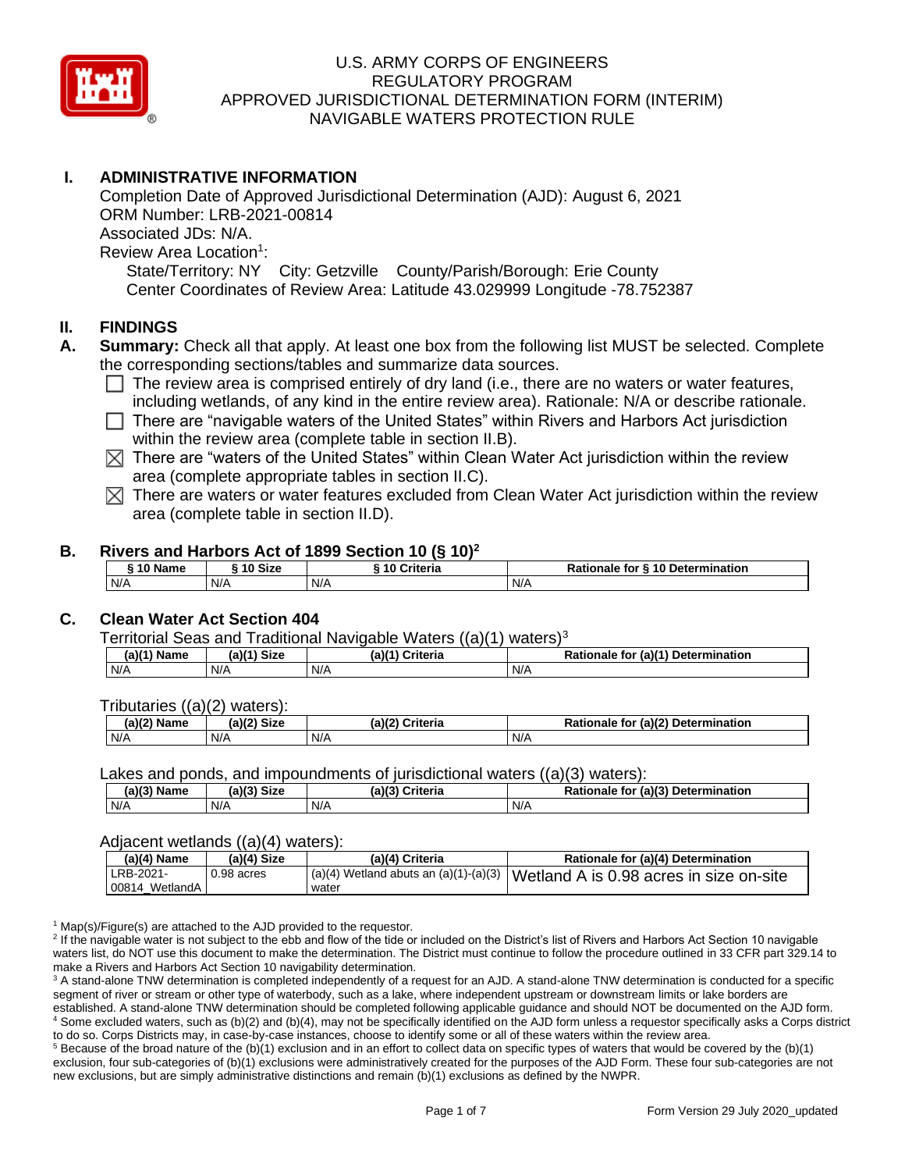

# **I. ADMINISTRATIVE INFORMATION**

Completion Date of Approved Jurisdictional Determination (AJD): August 6, 2021 ORM Number: LRB-2021-00814 Associated JDs: N/A. Review Area Location<sup>1</sup>: State/Territory: NY City: Getzville County/Parish/Borough: Erie County Center Coordinates of Review Area: Latitude 43.029999 Longitude -78.752387

### **II. FINDINGS**

- **A. Summary:** Check all that apply. At least one box from the following list MUST be selected. Complete the corresponding sections/tables and summarize data sources.
	- $\Box$  The review area is comprised entirely of dry land (i.e., there are no waters or water features, including wetlands, of any kind in the entire review area). Rationale: N/A or describe rationale.
	- $\Box$  There are "navigable waters of the United States" within Rivers and Harbors Act jurisdiction within the review area (complete table in section II.B).
	- $\boxtimes$  There are "waters of the United States" within Clean Water Act jurisdiction within the review area (complete appropriate tables in section II.C).
	- $\boxtimes$  There are waters or water features excluded from Clean Water Act jurisdiction within the review area (complete table in section II.D).

#### **B. Rivers and Harbors Act of 1899 Section 10 (§ 10)<sup>2</sup>**

| $\hat{ }$ 10 Size<br>10 Criteria<br><sub>ີ</sub> 10 Name |     | ---- | Rationale for § 10 Determination |     |
|----------------------------------------------------------|-----|------|----------------------------------|-----|
|                                                          | N/A | N/A  | N/A                              | N/A |

## **C. Clean Water Act Section 404**

Territorial Seas and Traditional Navigable Waters  $((a)(1)$  waters)<sup>3</sup>

| a)í″<br>Name | $(a)$ $(1)$<br><b>Size</b> | (a)( <sup>41</sup><br><b>Criteria</b> | (a)(1) Determination<br>Rationale<br>tor |
|--------------|----------------------------|---------------------------------------|------------------------------------------|
| N/A          | N/A                        | N/A                                   | N/A                                      |

Tributaries ((a)(2) waters):

| (2)<br>Name | <b>Size</b><br>へいつ | (a)(7)<br>riteria | $(ab)^{\sim}$<br>Determ<br>minatior.⁄<br>- -- -<br>tor<br>naie |
|-------------|--------------------|-------------------|----------------------------------------------------------------|
| N/A         | N/A                | N/A               | N/A                                                            |

Lakes and ponds, and impoundments of jurisdictional waters ((a)(3) waters):

| $(2)(2)$ N<br><b>Size</b><br>$-1121$<br><b>Name</b><br>лал. |     | (a)(3) | ົ <sup>r</sup> riteria<br>$D = 1$<br>naie |     | (a)(3) Determination |
|-------------------------------------------------------------|-----|--------|-------------------------------------------|-----|----------------------|
| N/A                                                         | N/A | N/A    |                                           | N/A |                      |

#### Adjacent wetlands ((a)(4) waters):

| (a)(4) Name                 | $(a)(4)$ Size | (a)(4) Criteria | Rationale for (a)(4) Determination                                                |
|-----------------------------|---------------|-----------------|-----------------------------------------------------------------------------------|
| LRB-2021-<br>00814 WetlandA | 0.98 acres    | water           | I (a)(4) Wetland abuts an (a)(1)-(a)(3)   Wetland A is 0.98 acres in size on-site |

 $1$  Map(s)/Figure(s) are attached to the AJD provided to the requestor.

<sup>2</sup> If the navigable water is not subject to the ebb and flow of the tide or included on the District's list of Rivers and Harbors Act Section 10 navigable waters list, do NOT use this document to make the determination. The District must continue to follow the procedure outlined in 33 CFR part 329.14 to make a Rivers and Harbors Act Section 10 navigability determination.

<sup>3</sup> A stand-alone TNW determination is completed independently of a request for an AJD. A stand-alone TNW determination is conducted for a specific segment of river or stream or other type of waterbody, such as a lake, where independent upstream or downstream limits or lake borders are established. A stand-alone TNW determination should be completed following applicable guidance and should NOT be documented on the AJD form. <sup>4</sup> Some excluded waters, such as (b)(2) and (b)(4), may not be specifically identified on the AJD form unless a requestor specifically asks a Corps district to do so. Corps Districts may, in case-by-case instances, choose to identify some or all of these waters within the review area.

 $5$  Because of the broad nature of the (b)(1) exclusion and in an effort to collect data on specific types of waters that would be covered by the (b)(1) exclusion, four sub-categories of (b)(1) exclusions were administratively created for the purposes of the AJD Form. These four sub-categories are not new exclusions, but are simply administrative distinctions and remain (b)(1) exclusions as defined by the NWPR.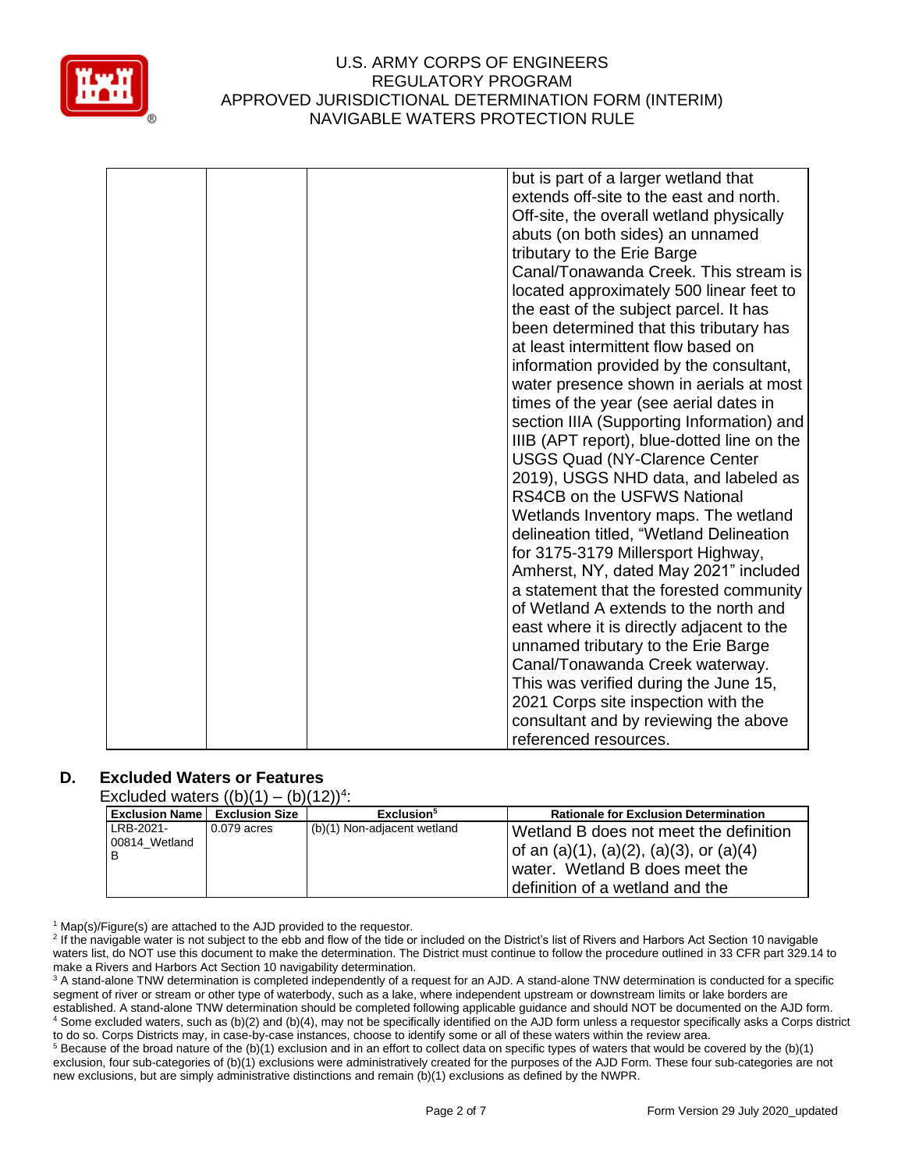

|  | but is part of a larger wetland that       |
|--|--------------------------------------------|
|  | extends off-site to the east and north.    |
|  | Off-site, the overall wetland physically   |
|  | abuts (on both sides) an unnamed           |
|  | tributary to the Erie Barge                |
|  | Canal/Tonawanda Creek. This stream is      |
|  | located approximately 500 linear feet to   |
|  | the east of the subject parcel. It has     |
|  | been determined that this tributary has    |
|  | at least intermittent flow based on        |
|  | information provided by the consultant,    |
|  | water presence shown in aerials at most    |
|  | times of the year (see aerial dates in     |
|  | section IIIA (Supporting Information) and  |
|  | IIIB (APT report), blue-dotted line on the |
|  | <b>USGS Quad (NY-Clarence Center</b>       |
|  | 2019), USGS NHD data, and labeled as       |
|  | RS4CB on the USFWS National                |
|  | Wetlands Inventory maps. The wetland       |
|  | delineation titled, "Wetland Delineation   |
|  | for 3175-3179 Millersport Highway,         |
|  | Amherst, NY, dated May 2021" included      |
|  | a statement that the forested community    |
|  | of Wetland A extends to the north and      |
|  | east where it is directly adjacent to the  |
|  | unnamed tributary to the Erie Barge        |
|  | Canal/Tonawanda Creek waterway.            |
|  | This was verified during the June 15,      |
|  | 2021 Corps site inspection with the        |
|  | consultant and by reviewing the above      |
|  | referenced resources.                      |

## **D. Excluded Waters or Features**

Excluded waters  $((b)(1) - (b)(12))^4$ :

| <b>Exclusion Name   Exclusion Size</b> |             | Exclusion <sup>5</sup>      | <b>Rationale for Exclusion Determination</b>                                                                                                           |
|----------------------------------------|-------------|-----------------------------|--------------------------------------------------------------------------------------------------------------------------------------------------------|
| LRB-2021-<br>00814 Wetland             | 0.079 acres | (b)(1) Non-adjacent wetland | Wetland B does not meet the definition<br>of an (a)(1), (a)(2), (a)(3), or (a)(4)<br>water. Wetland B does meet the<br>definition of a wetland and the |

 $1$  Map(s)/Figure(s) are attached to the AJD provided to the requestor.

<sup>2</sup> If the navigable water is not subject to the ebb and flow of the tide or included on the District's list of Rivers and Harbors Act Section 10 navigable waters list, do NOT use this document to make the determination. The District must continue to follow the procedure outlined in 33 CFR part 329.14 to make a Rivers and Harbors Act Section 10 navigability determination.

<sup>3</sup> A stand-alone TNW determination is completed independently of a request for an AJD. A stand-alone TNW determination is conducted for a specific segment of river or stream or other type of waterbody, such as a lake, where independent upstream or downstream limits or lake borders are established. A stand-alone TNW determination should be completed following applicable guidance and should NOT be documented on the AJD form. <sup>4</sup> Some excluded waters, such as (b)(2) and (b)(4), may not be specifically identified on the AJD form unless a requestor specifically asks a Corps district to do so. Corps Districts may, in case-by-case instances, choose to identify some or all of these waters within the review area.

<sup>5</sup> Because of the broad nature of the (b)(1) exclusion and in an effort to collect data on specific types of waters that would be covered by the (b)(1) exclusion, four sub-categories of (b)(1) exclusions were administratively created for the purposes of the AJD Form. These four sub-categories are not new exclusions, but are simply administrative distinctions and remain (b)(1) exclusions as defined by the NWPR.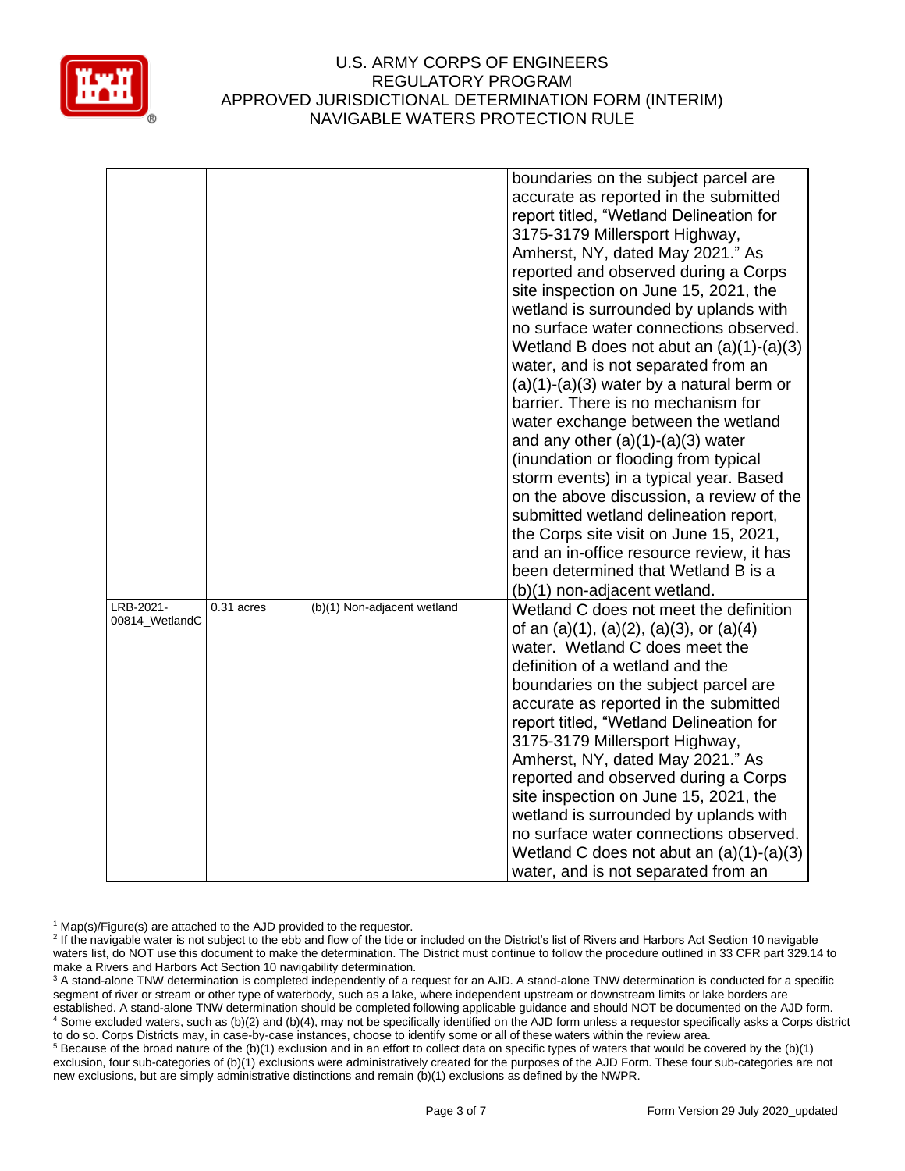

|                             |            |                             | boundaries on the subject parcel are<br>accurate as reported in the submitted<br>report titled, "Wetland Delineation for<br>3175-3179 Millersport Highway,<br>Amherst, NY, dated May 2021." As<br>reported and observed during a Corps<br>site inspection on June 15, 2021, the<br>wetland is surrounded by uplands with<br>no surface water connections observed.<br>Wetland B does not abut an $(a)(1)-(a)(3)$<br>water, and is not separated from an<br>$(a)(1)-(a)(3)$ water by a natural berm or<br>barrier. There is no mechanism for<br>water exchange between the wetland<br>and any other $(a)(1)-(a)(3)$ water<br>(inundation or flooding from typical<br>storm events) in a typical year. Based<br>on the above discussion, a review of the<br>submitted wetland delineation report,<br>the Corps site visit on June 15, 2021,<br>and an in-office resource review, it has<br>been determined that Wetland B is a |
|-----------------------------|------------|-----------------------------|------------------------------------------------------------------------------------------------------------------------------------------------------------------------------------------------------------------------------------------------------------------------------------------------------------------------------------------------------------------------------------------------------------------------------------------------------------------------------------------------------------------------------------------------------------------------------------------------------------------------------------------------------------------------------------------------------------------------------------------------------------------------------------------------------------------------------------------------------------------------------------------------------------------------------|
| LRB-2021-<br>00814_WetlandC | 0.31 acres | (b)(1) Non-adjacent wetland | (b)(1) non-adjacent wetland.<br>Wetland C does not meet the definition<br>of an $(a)(1)$ , $(a)(2)$ , $(a)(3)$ , or $(a)(4)$<br>water. Wetland C does meet the<br>definition of a wetland and the<br>boundaries on the subject parcel are<br>accurate as reported in the submitted<br>report titled, "Wetland Delineation for<br>3175-3179 Millersport Highway,<br>Amherst, NY, dated May 2021." As<br>reported and observed during a Corps<br>site inspection on June 15, 2021, the<br>wetland is surrounded by uplands with<br>no surface water connections observed.<br>Wetland C does not abut an $(a)(1)-(a)(3)$<br>water, and is not separated from an                                                                                                                                                                                                                                                                 |

<sup>1</sup> Map(s)/Figure(s) are attached to the AJD provided to the requestor.

<sup>5</sup> Because of the broad nature of the (b)(1) exclusion and in an effort to collect data on specific types of waters that would be covered by the (b)(1) exclusion, four sub-categories of (b)(1) exclusions were administratively created for the purposes of the AJD Form. These four sub-categories are not new exclusions, but are simply administrative distinctions and remain (b)(1) exclusions as defined by the NWPR.

<sup>&</sup>lt;sup>2</sup> If the navigable water is not subject to the ebb and flow of the tide or included on the District's list of Rivers and Harbors Act Section 10 navigable waters list, do NOT use this document to make the determination. The District must continue to follow the procedure outlined in 33 CFR part 329.14 to make a Rivers and Harbors Act Section 10 navigability determination.

<sup>&</sup>lt;sup>3</sup> A stand-alone TNW determination is completed independently of a request for an AJD. A stand-alone TNW determination is conducted for a specific segment of river or stream or other type of waterbody, such as a lake, where independent upstream or downstream limits or lake borders are established. A stand-alone TNW determination should be completed following applicable guidance and should NOT be documented on the AJD form. <sup>4</sup> Some excluded waters, such as (b)(2) and (b)(4), may not be specifically identified on the AJD form unless a requestor specifically asks a Corps district to do so. Corps Districts may, in case-by-case instances, choose to identify some or all of these waters within the review area.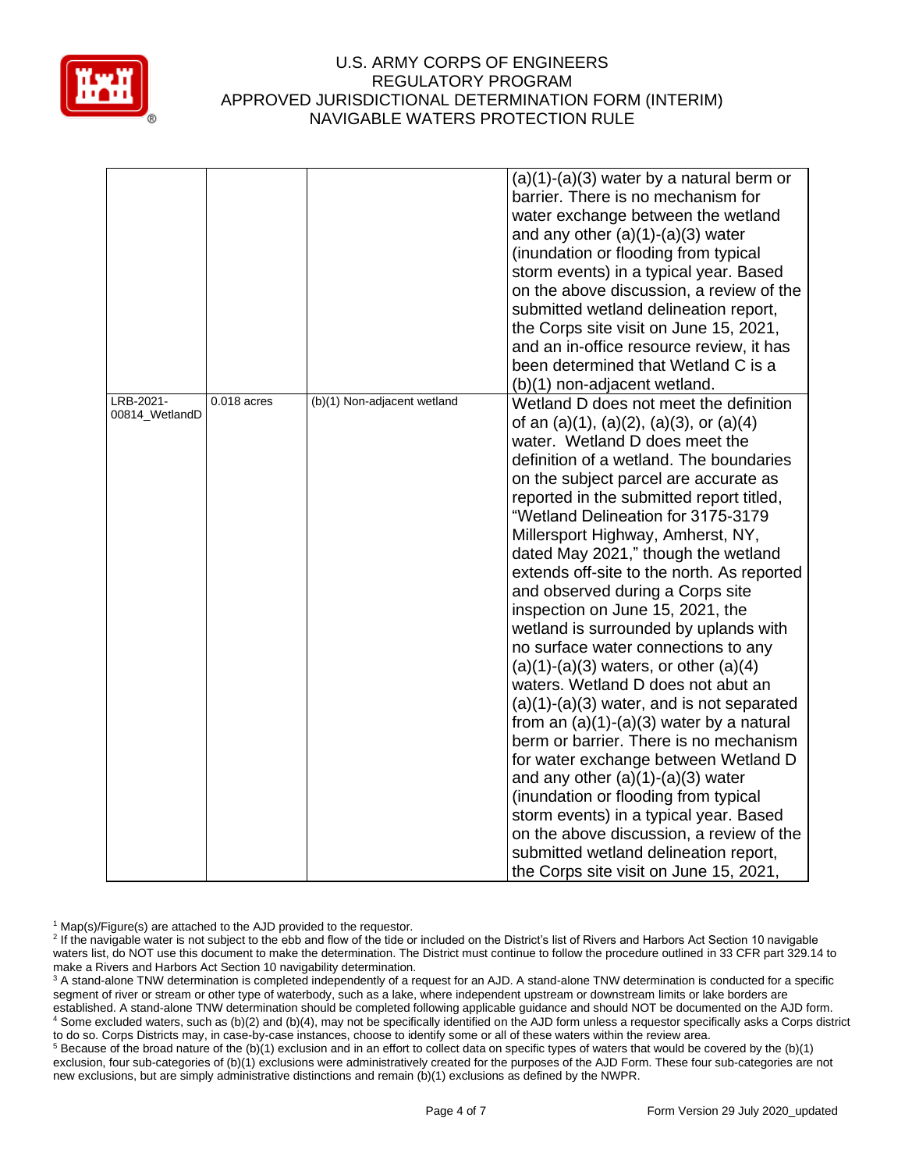

|                             |               |                             | $(a)(1)-(a)(3)$ water by a natural berm or<br>barrier. There is no mechanism for<br>water exchange between the wetland<br>and any other $(a)(1)-(a)(3)$ water<br>(inundation or flooding from typical<br>storm events) in a typical year. Based<br>on the above discussion, a review of the<br>submitted wetland delineation report,<br>the Corps site visit on June 15, 2021,                                                                                                                                                                                                                                                                                                                                                                                                                                                                                                                                                                                                                                                                                                                                   |
|-----------------------------|---------------|-----------------------------|------------------------------------------------------------------------------------------------------------------------------------------------------------------------------------------------------------------------------------------------------------------------------------------------------------------------------------------------------------------------------------------------------------------------------------------------------------------------------------------------------------------------------------------------------------------------------------------------------------------------------------------------------------------------------------------------------------------------------------------------------------------------------------------------------------------------------------------------------------------------------------------------------------------------------------------------------------------------------------------------------------------------------------------------------------------------------------------------------------------|
|                             |               |                             | and an in-office resource review, it has<br>been determined that Wetland C is a                                                                                                                                                                                                                                                                                                                                                                                                                                                                                                                                                                                                                                                                                                                                                                                                                                                                                                                                                                                                                                  |
|                             |               |                             | (b)(1) non-adjacent wetland.                                                                                                                                                                                                                                                                                                                                                                                                                                                                                                                                                                                                                                                                                                                                                                                                                                                                                                                                                                                                                                                                                     |
| LRB-2021-<br>00814_WetlandD | $0.018$ acres | (b)(1) Non-adjacent wetland | Wetland D does not meet the definition<br>of an $(a)(1)$ , $(a)(2)$ , $(a)(3)$ , or $(a)(4)$<br>water. Wetland D does meet the<br>definition of a wetland. The boundaries<br>on the subject parcel are accurate as<br>reported in the submitted report titled,<br>"Wetland Delineation for 3175-3179<br>Millersport Highway, Amherst, NY,<br>dated May 2021," though the wetland<br>extends off-site to the north. As reported<br>and observed during a Corps site<br>inspection on June 15, 2021, the<br>wetland is surrounded by uplands with<br>no surface water connections to any<br>$(a)(1)-(a)(3)$ waters, or other $(a)(4)$<br>waters. Wetland D does not abut an<br>$(a)(1)-(a)(3)$ water, and is not separated<br>from an $(a)(1)-(a)(3)$ water by a natural<br>berm or barrier. There is no mechanism<br>for water exchange between Wetland D<br>and any other $(a)(1)-(a)(3)$ water<br>(inundation or flooding from typical<br>storm events) in a typical year. Based<br>on the above discussion, a review of the<br>submitted wetland delineation report,<br>the Corps site visit on June 15, 2021, |

<sup>1</sup> Map(s)/Figure(s) are attached to the AJD provided to the requestor.

<sup>5</sup> Because of the broad nature of the (b)(1) exclusion and in an effort to collect data on specific types of waters that would be covered by the (b)(1) exclusion, four sub-categories of (b)(1) exclusions were administratively created for the purposes of the AJD Form. These four sub-categories are not new exclusions, but are simply administrative distinctions and remain (b)(1) exclusions as defined by the NWPR.

<sup>&</sup>lt;sup>2</sup> If the navigable water is not subject to the ebb and flow of the tide or included on the District's list of Rivers and Harbors Act Section 10 navigable waters list, do NOT use this document to make the determination. The District must continue to follow the procedure outlined in 33 CFR part 329.14 to make a Rivers and Harbors Act Section 10 navigability determination.

<sup>&</sup>lt;sup>3</sup> A stand-alone TNW determination is completed independently of a request for an AJD. A stand-alone TNW determination is conducted for a specific segment of river or stream or other type of waterbody, such as a lake, where independent upstream or downstream limits or lake borders are established. A stand-alone TNW determination should be completed following applicable guidance and should NOT be documented on the AJD form. <sup>4</sup> Some excluded waters, such as (b)(2) and (b)(4), may not be specifically identified on the AJD form unless a requestor specifically asks a Corps district to do so. Corps Districts may, in case-by-case instances, choose to identify some or all of these waters within the review area.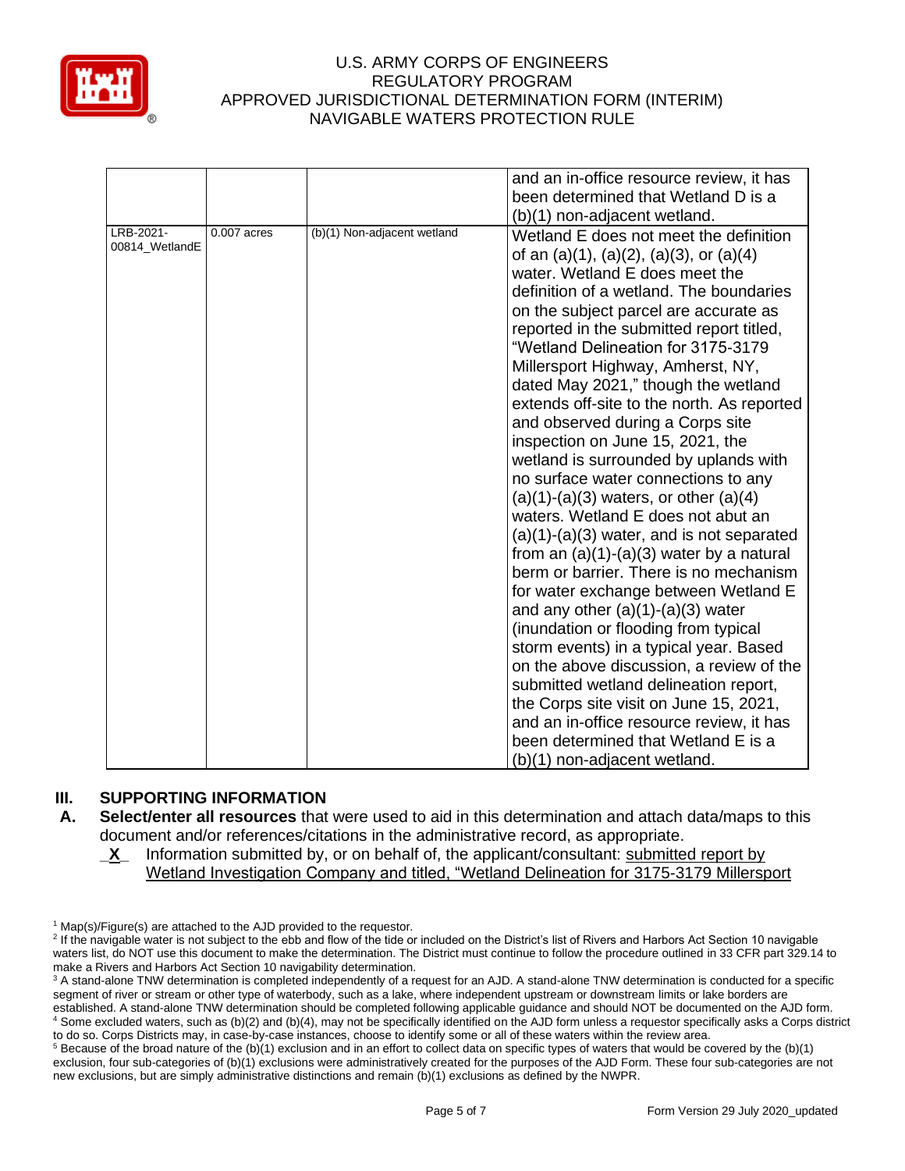

|                             |               |                             | and an in-office resource review, it has<br>been determined that Wetland D is a<br>(b)(1) non-adjacent wetland.                                                                                                                                                                                                                                                                                                                                                                                                                                                                                                                                                                                                                                                                                                                                                                                                                                                                                                                                                                                                                                                                                                                     |
|-----------------------------|---------------|-----------------------------|-------------------------------------------------------------------------------------------------------------------------------------------------------------------------------------------------------------------------------------------------------------------------------------------------------------------------------------------------------------------------------------------------------------------------------------------------------------------------------------------------------------------------------------------------------------------------------------------------------------------------------------------------------------------------------------------------------------------------------------------------------------------------------------------------------------------------------------------------------------------------------------------------------------------------------------------------------------------------------------------------------------------------------------------------------------------------------------------------------------------------------------------------------------------------------------------------------------------------------------|
| LRB-2021-<br>00814 WetlandE | $0.007$ acres | (b)(1) Non-adjacent wetland | Wetland E does not meet the definition<br>of an $(a)(1)$ , $(a)(2)$ , $(a)(3)$ , or $(a)(4)$<br>water. Wetland E does meet the<br>definition of a wetland. The boundaries<br>on the subject parcel are accurate as<br>reported in the submitted report titled,<br>"Wetland Delineation for 3175-3179<br>Millersport Highway, Amherst, NY,<br>dated May 2021," though the wetland<br>extends off-site to the north. As reported<br>and observed during a Corps site<br>inspection on June 15, 2021, the<br>wetland is surrounded by uplands with<br>no surface water connections to any<br>$(a)(1)-(a)(3)$ waters, or other $(a)(4)$<br>waters. Wetland E does not abut an<br>$(a)(1)-(a)(3)$ water, and is not separated<br>from an $(a)(1)-(a)(3)$ water by a natural<br>berm or barrier. There is no mechanism<br>for water exchange between Wetland E<br>and any other $(a)(1)-(a)(3)$ water<br>(inundation or flooding from typical<br>storm events) in a typical year. Based<br>on the above discussion, a review of the<br>submitted wetland delineation report,<br>the Corps site visit on June 15, 2021,<br>and an in-office resource review, it has<br>been determined that Wetland E is a<br>(b)(1) non-adjacent wetland. |

# **III. SUPPORTING INFORMATION**

- **A. Select/enter all resources** that were used to aid in this determination and attach data/maps to this document and/or references/citations in the administrative record, as appropriate.
	- **X** Information submitted by, or on behalf of, the applicant/consultant: submitted report by Wetland Investigation Company and titled, "Wetland Delineation for 3175-3179 Millersport

 $5$  Because of the broad nature of the (b)(1) exclusion and in an effort to collect data on specific types of waters that would be covered by the (b)(1) exclusion, four sub-categories of (b)(1) exclusions were administratively created for the purposes of the AJD Form. These four sub-categories are not new exclusions, but are simply administrative distinctions and remain (b)(1) exclusions as defined by the NWPR.

 $1$  Map(s)/Figure(s) are attached to the AJD provided to the requestor.

<sup>&</sup>lt;sup>2</sup> If the navigable water is not subject to the ebb and flow of the tide or included on the District's list of Rivers and Harbors Act Section 10 navigable waters list, do NOT use this document to make the determination. The District must continue to follow the procedure outlined in 33 CFR part 329.14 to make a Rivers and Harbors Act Section 10 navigability determination.

<sup>&</sup>lt;sup>3</sup> A stand-alone TNW determination is completed independently of a request for an AJD. A stand-alone TNW determination is conducted for a specific segment of river or stream or other type of waterbody, such as a lake, where independent upstream or downstream limits or lake borders are established. A stand-alone TNW determination should be completed following applicable guidance and should NOT be documented on the AJD form. <sup>4</sup> Some excluded waters, such as (b)(2) and (b)(4), may not be specifically identified on the AJD form unless a requestor specifically asks a Corps district to do so. Corps Districts may, in case-by-case instances, choose to identify some or all of these waters within the review area.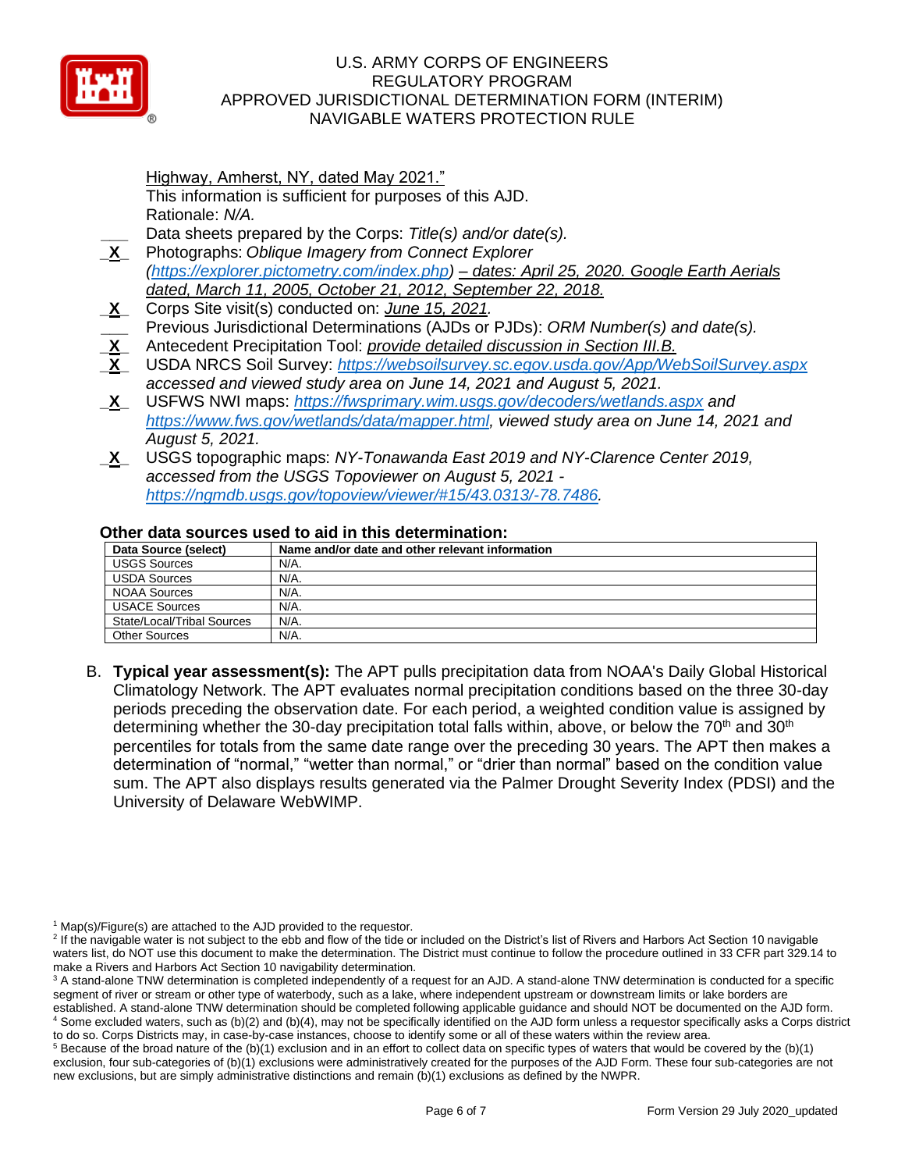

Highway, Amherst, NY, dated May 2021." This information is sufficient for purposes of this AJD. Rationale: *N/A.* **\_\_\_** Data sheets prepared by the Corps: *Title(s) and/or date(s).*

- **\_X\_** Photographs: *Oblique Imagery from Connect Explorer [\(https://explorer.pictometry.com/index.php\)](https://explorer.pictometry.com/index.php) – dates: April 25, 2020. Google Earth Aerials dated, March 11, 2005, October 21, 2012, September 22, 2018.*
- **\_X\_** Corps Site visit(s) conducted on: *June 15, 2021.*
- **\_\_\_** Previous Jurisdictional Determinations (AJDs or PJDs): *ORM Number(s) and date(s).*
- **\_X\_** Antecedent Precipitation Tool: *provide detailed discussion in Section III.B.*
- **\_X\_** USDA NRCS Soil Survey: *<https://websoilsurvey.sc.egov.usda.gov/App/WebSoilSurvey.aspx> accessed and viewed study area on June 14, 2021 and August 5, 2021.*
- **\_X\_** USFWS NWI maps: *<https://fwsprimary.wim.usgs.gov/decoders/wetlands.aspx> and [https://www.fws.gov/wetlands/data/mapper.html,](https://www.fws.gov/wetlands/data/mapper.html) viewed study area on June 14, 2021 and August 5, 2021.*
- **\_X\_** USGS topographic maps: *NY-Tonawanda East 2019 and NY-Clarence Center 2019, accessed from the USGS Topoviewer on August 5, 2021 [https://ngmdb.usgs.gov/topoview/viewer/#15/43.0313/-78.7486.](https://ngmdb.usgs.gov/topoview/viewer/#15/43.0313/-78.7486)*

### **Other data sources used to aid in this determination:**

| Data Source (select)       | Name and/or date and other relevant information |
|----------------------------|-------------------------------------------------|
| <b>USGS Sources</b>        | N/A.                                            |
| <b>USDA Sources</b>        | N/A.                                            |
| <b>NOAA Sources</b>        | N/A.                                            |
| <b>USACE Sources</b>       | N/A.                                            |
| State/Local/Tribal Sources | N/A.                                            |
| Other Sources              | N/A.                                            |

B. **Typical year assessment(s):** The APT pulls precipitation data from NOAA's Daily Global Historical Climatology Network. The APT evaluates normal precipitation conditions based on the three 30-day periods preceding the observation date. For each period, a weighted condition value is assigned by determining whether the 30-day precipitation total falls within, above, or below the  $70<sup>th</sup>$  and  $30<sup>th</sup>$ percentiles for totals from the same date range over the preceding 30 years. The APT then makes a determination of "normal," "wetter than normal," or "drier than normal" based on the condition value sum. The APT also displays results generated via the Palmer Drought Severity Index (PDSI) and the University of Delaware WebWIMP.

 $1$  Map(s)/Figure(s) are attached to the AJD provided to the requestor.

<sup>&</sup>lt;sup>2</sup> If the navigable water is not subject to the ebb and flow of the tide or included on the District's list of Rivers and Harbors Act Section 10 navigable waters list, do NOT use this document to make the determination. The District must continue to follow the procedure outlined in 33 CFR part 329.14 to make a Rivers and Harbors Act Section 10 navigability determination.

<sup>&</sup>lt;sup>3</sup> A stand-alone TNW determination is completed independently of a request for an AJD. A stand-alone TNW determination is conducted for a specific segment of river or stream or other type of waterbody, such as a lake, where independent upstream or downstream limits or lake borders are established. A stand-alone TNW determination should be completed following applicable guidance and should NOT be documented on the AJD form. <sup>4</sup> Some excluded waters, such as (b)(2) and (b)(4), may not be specifically identified on the AJD form unless a requestor specifically asks a Corps district

to do so. Corps Districts may, in case-by-case instances, choose to identify some or all of these waters within the review area.  $5$  Because of the broad nature of the (b)(1) exclusion and in an effort to collect data on specific types of waters that would be covered by the (b)(1)

exclusion, four sub-categories of (b)(1) exclusions were administratively created for the purposes of the AJD Form. These four sub-categories are not new exclusions, but are simply administrative distinctions and remain (b)(1) exclusions as defined by the NWPR.